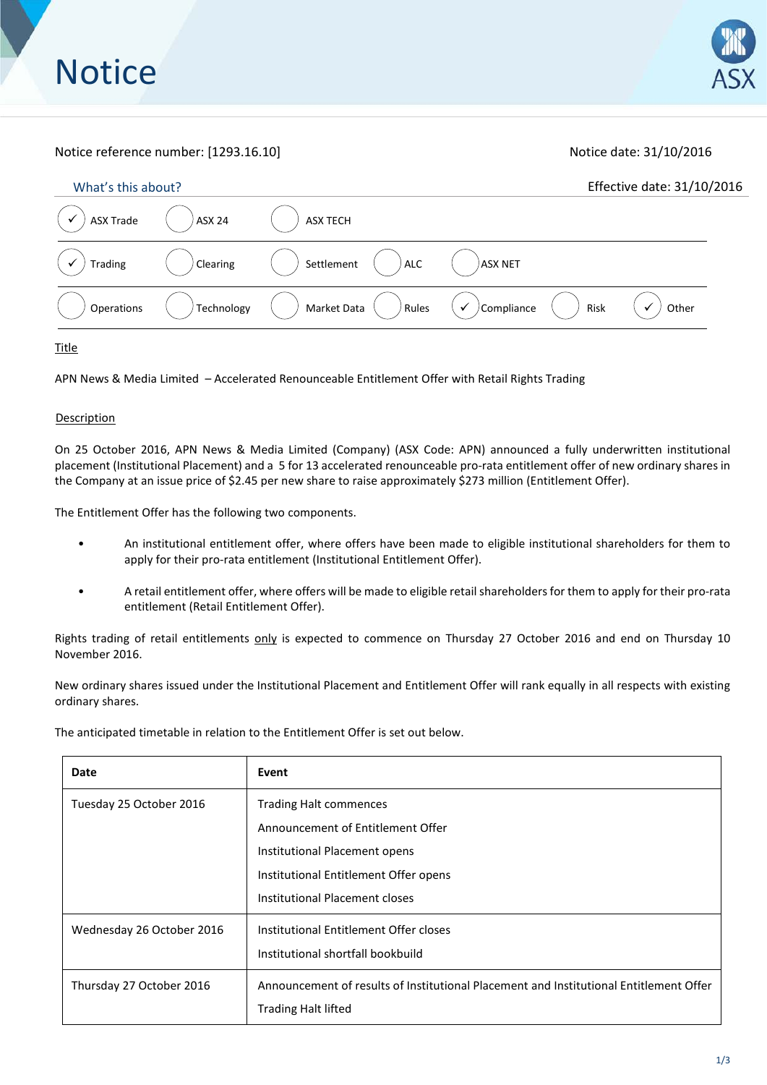# Notice reference number: [1293.16.10] Notice date: 31/10/2016

| What's this about? |               |                          |                                  | Effective date: 31/10/2016 |
|--------------------|---------------|--------------------------|----------------------------------|----------------------------|
| <b>ASX Trade</b>   | <b>ASX 24</b> | <b>ASX TECH</b>          |                                  |                            |
| Trading            | Clearing      | Settlement<br><b>ALC</b> | ASX NET                          |                            |
| Operations         | Technology    | Rules<br>Market Data     | $\checkmark$ /Compliance<br>Risk | Other                      |

Title

APN News & Media Limited – Accelerated Renounceable Entitlement Offer with Retail Rights Trading

### **Description**

On 25 October 2016, APN News & Media Limited (Company) (ASX Code: APN) announced a fully underwritten institutional placement (Institutional Placement) and a 5 for 13 accelerated renounceable pro-rata entitlement offer of new ordinary shares in the Company at an issue price of \$2.45 per new share to raise approximately \$273 million (Entitlement Offer).

The Entitlement Offer has the following two components.

- An institutional entitlement offer, where offers have been made to eligible institutional shareholders for them to apply for their pro-rata entitlement (Institutional Entitlement Offer).
- A retail entitlement offer, where offers will be made to eligible retail shareholders for them to apply for their pro-rata entitlement (Retail Entitlement Offer).

Rights trading of retail entitlements only is expected to commence on Thursday 27 October 2016 and end on Thursday 10 November 2016.

New ordinary shares issued under the Institutional Placement and Entitlement Offer will rank equally in all respects with existing ordinary shares.

The anticipated timetable in relation to the Entitlement Offer is set out below.

| Date                      | Event                                                                                  |  |  |
|---------------------------|----------------------------------------------------------------------------------------|--|--|
| Tuesday 25 October 2016   | <b>Trading Halt commences</b>                                                          |  |  |
|                           | Announcement of Entitlement Offer                                                      |  |  |
|                           | Institutional Placement opens                                                          |  |  |
|                           | Institutional Entitlement Offer opens                                                  |  |  |
|                           | Institutional Placement closes                                                         |  |  |
| Wednesday 26 October 2016 | Institutional Entitlement Offer closes                                                 |  |  |
|                           | Institutional shortfall bookbuild                                                      |  |  |
| Thursday 27 October 2016  | Announcement of results of Institutional Placement and Institutional Entitlement Offer |  |  |
|                           | <b>Trading Halt lifted</b>                                                             |  |  |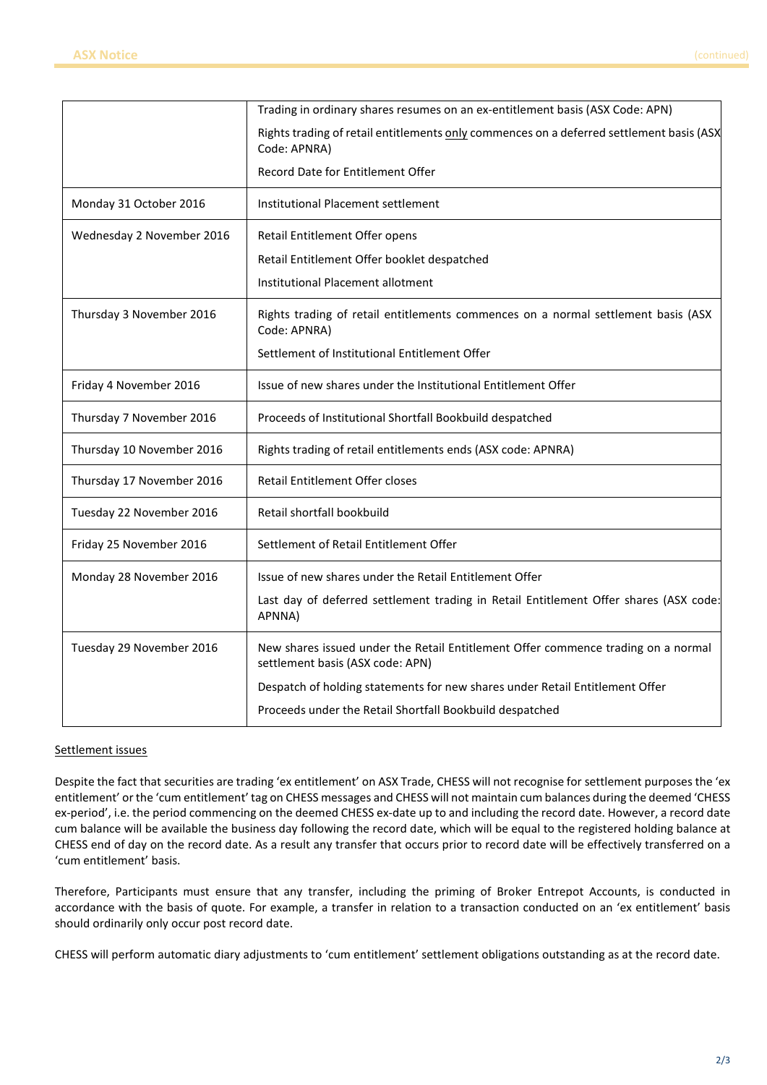|                           | Trading in ordinary shares resumes on an ex-entitlement basis (ASX Code: APN)                                         |
|---------------------------|-----------------------------------------------------------------------------------------------------------------------|
|                           | Rights trading of retail entitlements only commences on a deferred settlement basis (ASX<br>Code: APNRA)              |
|                           | Record Date for Entitlement Offer                                                                                     |
| Monday 31 October 2016    | Institutional Placement settlement                                                                                    |
| Wednesday 2 November 2016 | Retail Entitlement Offer opens                                                                                        |
|                           | Retail Entitlement Offer booklet despatched                                                                           |
|                           | Institutional Placement allotment                                                                                     |
| Thursday 3 November 2016  | Rights trading of retail entitlements commences on a normal settlement basis (ASX<br>Code: APNRA)                     |
|                           | Settlement of Institutional Entitlement Offer                                                                         |
| Friday 4 November 2016    | Issue of new shares under the Institutional Entitlement Offer                                                         |
| Thursday 7 November 2016  | Proceeds of Institutional Shortfall Bookbuild despatched                                                              |
| Thursday 10 November 2016 | Rights trading of retail entitlements ends (ASX code: APNRA)                                                          |
| Thursday 17 November 2016 | Retail Entitlement Offer closes                                                                                       |
| Tuesday 22 November 2016  | Retail shortfall bookbuild                                                                                            |
| Friday 25 November 2016   | Settlement of Retail Entitlement Offer                                                                                |
| Monday 28 November 2016   | Issue of new shares under the Retail Entitlement Offer                                                                |
|                           | Last day of deferred settlement trading in Retail Entitlement Offer shares (ASX code:<br>APNNA)                       |
| Tuesday 29 November 2016  | New shares issued under the Retail Entitlement Offer commence trading on a normal<br>settlement basis (ASX code: APN) |
|                           | Despatch of holding statements for new shares under Retail Entitlement Offer                                          |
|                           | Proceeds under the Retail Shortfall Bookbuild despatched                                                              |

# Settlement issues

Despite the fact that securities are trading 'ex entitlement' on ASX Trade, CHESS will not recognise for settlement purposes the 'ex entitlement' or the 'cum entitlement' tag on CHESS messages and CHESS will not maintain cum balances during the deemed 'CHESS ex-period', i.e. the period commencing on the deemed CHESS ex-date up to and including the record date. However, a record date cum balance will be available the business day following the record date, which will be equal to the registered holding balance at CHESS end of day on the record date. As a result any transfer that occurs prior to record date will be effectively transferred on a 'cum entitlement' basis.

Therefore, Participants must ensure that any transfer, including the priming of Broker Entrepot Accounts, is conducted in accordance with the basis of quote. For example, a transfer in relation to a transaction conducted on an 'ex entitlement' basis should ordinarily only occur post record date.

CHESS will perform automatic diary adjustments to 'cum entitlement' settlement obligations outstanding as at the record date.